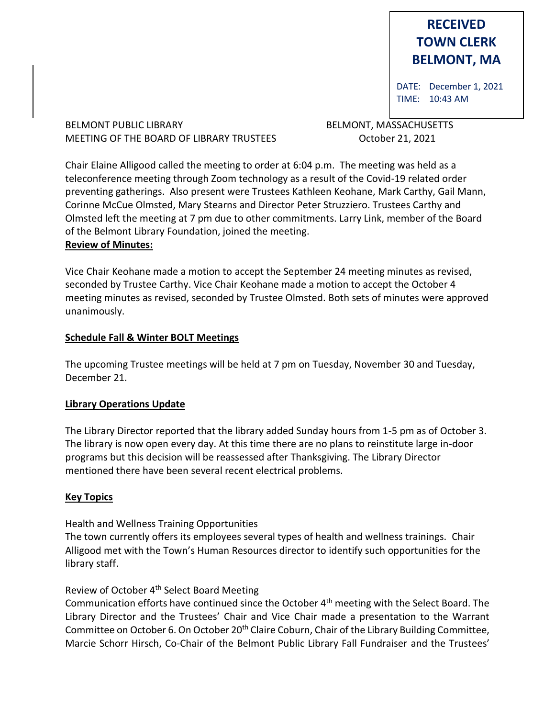# **RECEIVED TOWN CLERK BELMONT, MA**

DATE: December 1, 2021 TIME: 10:43 AM

BELMONT PUBLIC LIBRARY **BELMONT, MASSACHUSETTS** MEETING OF THE BOARD OF LIBRARY TRUSTEES OCTOber 21, 2021

Chair Elaine Alligood called the meeting to order at 6:04 p.m. The meeting was held as a teleconference meeting through Zoom technology as a result of the Covid-19 related order preventing gatherings. Also present were Trustees Kathleen Keohane, Mark Carthy, Gail Mann, Corinne McCue Olmsted, Mary Stearns and Director Peter Struzziero. Trustees Carthy and Olmsted left the meeting at 7 pm due to other commitments. Larry Link, member of the Board of the Belmont Library Foundation, joined the meeting. **Review of Minutes:**

Vice Chair Keohane made a motion to accept the September 24 meeting minutes as revised, seconded by Trustee Carthy. Vice Chair Keohane made a motion to accept the October 4 meeting minutes as revised, seconded by Trustee Olmsted. Both sets of minutes were approved unanimously.

## **Schedule Fall & Winter BOLT Meetings**

The upcoming Trustee meetings will be held at 7 pm on Tuesday, November 30 and Tuesday, December 21.

#### **Library Operations Update**

The Library Director reported that the library added Sunday hours from 1-5 pm as of October 3. The library is now open every day. At this time there are no plans to reinstitute large in-door programs but this decision will be reassessed after Thanksgiving. The Library Director mentioned there have been several recent electrical problems.

# **Key Topics**

Health and Wellness Training Opportunities

The town currently offers its employees several types of health and wellness trainings. Chair Alligood met with the Town's Human Resources director to identify such opportunities for the library staff.

# Review of October 4th Select Board Meeting

Communication efforts have continued since the October 4th meeting with the Select Board. The Library Director and the Trustees' Chair and Vice Chair made a presentation to the Warrant Committee on October 6. On October 20<sup>th</sup> Claire Coburn, Chair of the Library Building Committee, Marcie Schorr Hirsch, Co-Chair of the Belmont Public Library Fall Fundraiser and the Trustees'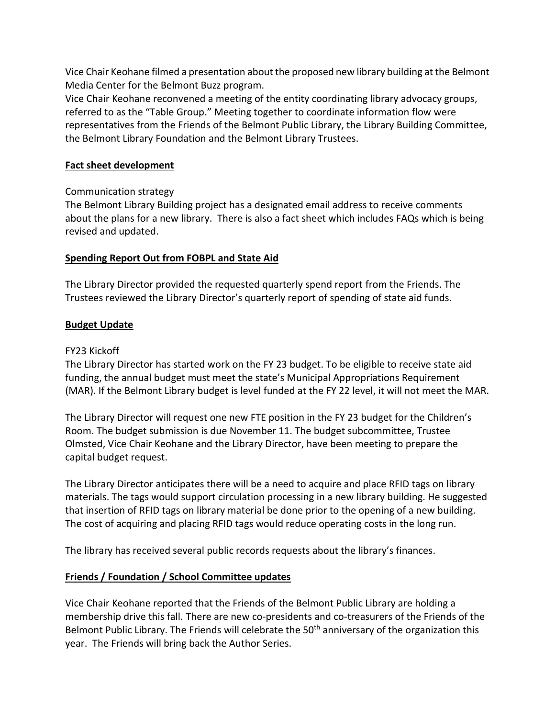Vice Chair Keohane filmed a presentation about the proposed new library building at the Belmont Media Center for the Belmont Buzz program.

Vice Chair Keohane reconvened a meeting of the entity coordinating library advocacy groups, referred to as the "Table Group." Meeting together to coordinate information flow were representatives from the Friends of the Belmont Public Library, the Library Building Committee, the Belmont Library Foundation and the Belmont Library Trustees.

## **Fact sheet development**

# Communication strategy

The Belmont Library Building project has a designated email address to receive comments about the plans for a new library. There is also a fact sheet which includes FAQs which is being revised and updated.

# **Spending Report Out from FOBPL and State Aid**

The Library Director provided the requested quarterly spend report from the Friends. The Trustees reviewed the Library Director's quarterly report of spending of state aid funds.

# **Budget Update**

## FY23 Kickoff

The Library Director has started work on the FY 23 budget. To be eligible to receive state aid funding, the annual budget must meet the state's Municipal Appropriations Requirement (MAR). If the Belmont Library budget is level funded at the FY 22 level, it will not meet the MAR.

The Library Director will request one new FTE position in the FY 23 budget for the Children's Room. The budget submission is due November 11. The budget subcommittee, Trustee Olmsted, Vice Chair Keohane and the Library Director, have been meeting to prepare the capital budget request.

The Library Director anticipates there will be a need to acquire and place RFID tags on library materials. The tags would support circulation processing in a new library building. He suggested that insertion of RFID tags on library material be done prior to the opening of a new building. The cost of acquiring and placing RFID tags would reduce operating costs in the long run.

The library has received several public records requests about the library's finances.

# **Friends / Foundation / School Committee updates**

Vice Chair Keohane reported that the Friends of the Belmont Public Library are holding a membership drive this fall. There are new co-presidents and co-treasurers of the Friends of the Belmont Public Library. The Friends will celebrate the 50<sup>th</sup> anniversary of the organization this year. The Friends will bring back the Author Series.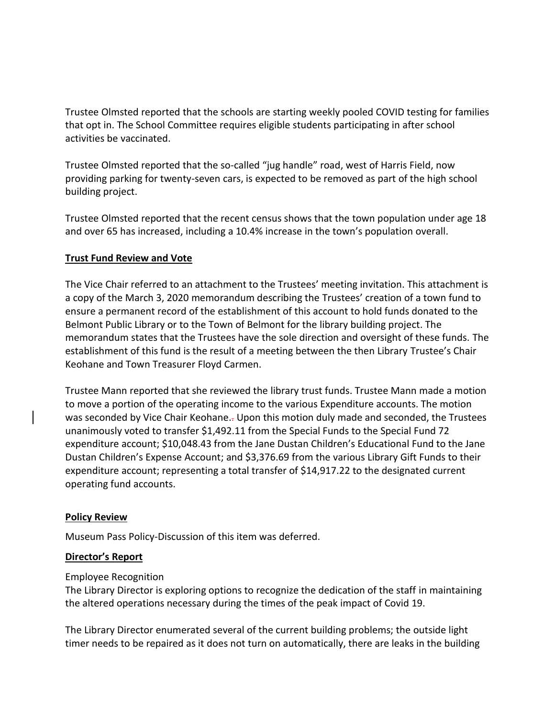Trustee Olmsted reported that the schools are starting weekly pooled COVID testing for families that opt in. The School Committee requires eligible students participating in after school activities be vaccinated.

Trustee Olmsted reported that the so-called "jug handle" road, west of Harris Field, now providing parking for twenty-seven cars, is expected to be removed as part of the high school building project.

Trustee Olmsted reported that the recent census shows that the town population under age 18 and over 65 has increased, including a 10.4% increase in the town's population overall.

## **Trust Fund Review and Vote**

The Vice Chair referred to an attachment to the Trustees' meeting invitation. This attachment is a copy of the March 3, 2020 memorandum describing the Trustees' creation of a town fund to ensure a permanent record of the establishment of this account to hold funds donated to the Belmont Public Library or to the Town of Belmont for the library building project. The memorandum states that the Trustees have the sole direction and oversight of these funds. The establishment of this fund is the result of a meeting between the then Library Trustee's Chair Keohane and Town Treasurer Floyd Carmen.

Trustee Mann reported that she reviewed the library trust funds. Trustee Mann made a motion to move a portion of the operating income to the various Expenditure accounts. The motion was seconded by Vice Chair Keohane.. Upon this motion duly made and seconded, the Trustees unanimously voted to transfer \$1,492.11 from the Special Funds to the Special Fund 72 expenditure account; \$10,048.43 from the Jane Dustan Children's Educational Fund to the Jane Dustan Children's Expense Account; and \$3,376.69 from the various Library Gift Funds to their expenditure account; representing a total transfer of \$14,917.22 to the designated current operating fund accounts.

#### **Policy Review**

Museum Pass Policy-Discussion of this item was deferred.

# **Director's Report**

#### Employee Recognition

The Library Director is exploring options to recognize the dedication of the staff in maintaining the altered operations necessary during the times of the peak impact of Covid 19.

The Library Director enumerated several of the current building problems; the outside light timer needs to be repaired as it does not turn on automatically, there are leaks in the building